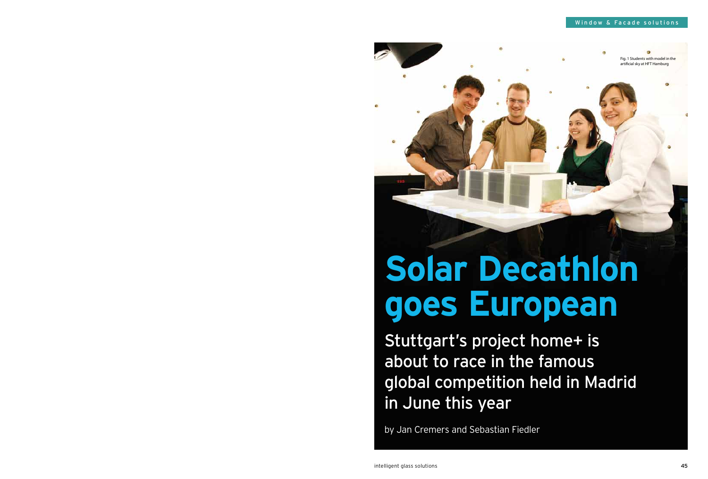

# **Solar Decathlon goes European**

Stuttgart's project home+ is about to race in the famous global competition held in Madrid in June this year

by Jan Cremers and Sebastian Fiedler

Fig. 1 Students with model in the artificial sky at HFT Hamburg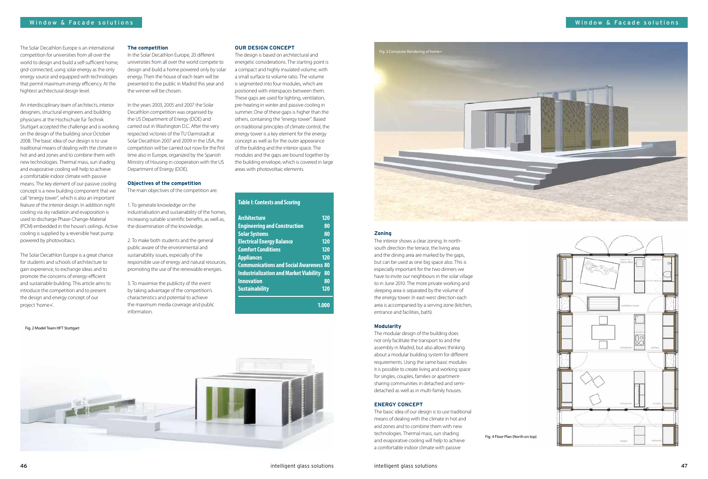

#### **Zoning**

The interior shows a clear zoning. In northsouth direction the terrace, the living area and the dining area are marked by the gaps, but can be used as one big space also. This is especially important for the two dinners we have to invite our neighbours in the solar village to in June 2010. The more private working and sleeping area is separated by the volume of the energy tower. In east-west direction each area is accompanied by a serving zone (kitchen, entrance and facilities, bath).

#### **Modularity**

The modular design of the building does not only facilitate the transport to and the assembly in Madrid, but also allows thinking about a modular building system for different requirements. Using the same basic modules it is possible to create living and working space for singles, couples, families or apartmentsharing communities in detached and semidetached as well as in multi-family houses.

#### **ENERGY CONCEPT**

The basic idea of our design is to use traditional means of dealing with the climate in hot and arid zones and to combine them with new technologies. Thermal mass, sun shading and evaporative cooling will help to achieve a comfortable indoor climate with passive

#### **OUR DESIGN CONCEPT**

The design is based on architectural and energetic considerations. The starting point is a compact and highly insulated volume, with a small surface to volume ratio. The volume is segmented into four modules, which are positioned with interspaces between them. These gaps are used for lighting, ventilation, pre-heating in winter and passive cooling in summer. One of these gaps is higher than the others, containing the "energy tower". Based on traditional principles of climate control, the energy tower is a key element for the energy concept as well as for the outer appearance of the building and the interior space. The modules and the gaps are bound together by the building envelope, which is covered in large areas with photovoltaic elements.





In the Solar Decathlon Europe, 20 different universities from all over the world compete to design and build a home powered only by solar energy. Then the house of each team will be presented to the public in Madrid this year and the winner will be chosen.

In the years 2003, 2005 and 2007 the Solar Decathlon competition was organised by the US Department of Energy (DOE) and carried out in Washington D.C. After the very respected victories of the TU Darmstadt at Solar Decathlon 2007 and 2009 in the USA, the competition will be carried out now for the first time also in Europe, organized by the Spanish Ministry of Housing in cooperation with the US Department of Energy (DOE).

#### **Objectives of the competition**

The main objectives of the competition are:

1. To generate knowledge on the industrialisation and sustainability of the homes, increasing suitable scientific benefits, as well as, the dissemination of the knowledge.

2. To make both students and the general public aware of the environmental and sustainability issues, especially of the responsible use of energy and natural resources, promoting the use of the renewable energies.

3. To maximise the publicity of the event by taking advantage of the competition's characteristics and potential to achieve the maximum media coverage and public information.

The Solar Decathlon Europe is an international competition for universities from all over the world to design and build a self-sufficient home, grid-connected, using solar energy as the only energy source and equipped with technologies that permit maximum energy efficiency. At the hightest architectural design level.

An interdisciplinary team of architects, interior designers, structural engineers and building physicians at the Hochschule für Technik Stuttgart accepted the challenge and is working on the design of the building since October 2008. The basic idea of our design is to use traditional means of dealing with the climate in hot and arid zones and to combine them with new technologies. Thermal mass, sun shading and evaporative cooling will help to achieve a comfortable indoor climate with passive means. The key element of our passive cooling concept is a new building component that we call "energy tower", which is also an important feature of the interior design. In addition night cooling via sky radiation and evaporation is used to discharge Phase-Change-Material (PCM) embedded in the house's ceilings. Active cooling is supplied by a reversible heat pump powered by photovoltaics.

The Solar Decathlon Europe is a great chance for students and schools of architecture to gain experience, to exchange ideas and to promote the concerns of energy-efficient and sustainable building. This article aims to introduce the competition and to present the design and energy concept of our project 'home+'.

Fig. 2 Model Team HFT Stuttgart

Fig. 4 Floor Plan (North on top)

| <u>Architecture</u>                           | 120 |
|-----------------------------------------------|-----|
| <b>Engineering and Construction</b>           | 80  |
| <b>Solar Systems</b>                          | 80  |
| <b>Electrical Energy Balance</b>              | 120 |
| <b>Comfort Conditions</b>                     | 120 |
| <b>Appliances</b>                             | 120 |
| <b>Communications and Social Awareness 80</b> |     |
| <b>Industrialization and Market Viability</b> | 80  |
| <b>Innovation</b>                             | 80  |
| <b>Sustainability</b>                         | 120 |

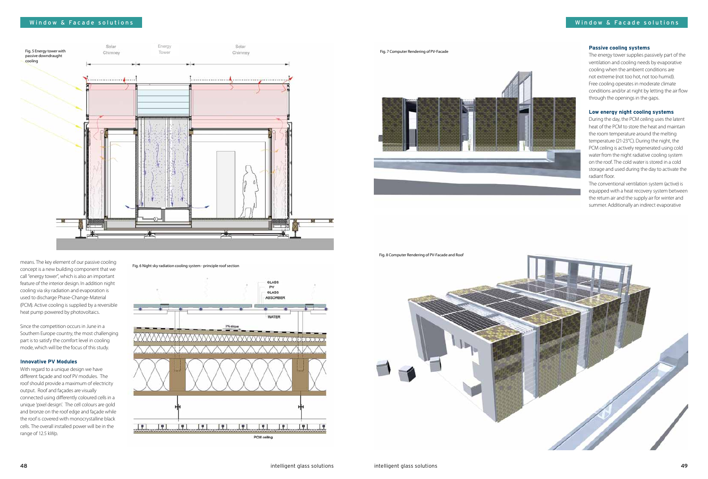#### **Passive cooling systems**

The energy tower supplies passively part of the ventilation and cooling needs by evaporative cooling when the ambient conditions are not extreme (not too hot, not too humid). Free cooling operates in moderate climate conditions and/or at night by letting the air flow through the openings in the gaps.

#### **Low energy night cooling systems**

During the day, the PCM ceiling uses the latent heat of the PCM to store the heat and maintain the room temperature around the melting temperature (21-23°C). During the night, the PCM ceiling is actively regenerated using cold water from the night radiative cooling system on the roof. The cold water is stored in a cold storage and used during the day to activate the radiant floor.

The conventional ventilation system (active) is equipped with a heat recovery system between the return air and the supply air for winter and summer. Additionally an indirect evaporative

means. The key element of our passive cooling concept is a new building component that we call "energy tower", which is also an important feature of the interior design. In addition night cooling via sky radiation and evaporation is used to discharge Phase-Change-Material (PCM). Active cooling is supplied by a reversible heat pump powered by photovoltaics.

Since the competition occurs in June in a Southern Europe country, the most challenging part is to satisfy the comfort level in cooling mode, which will be the focus of this study.

#### **Innovative PV Modules**

With regard to a unique design we have different façade and roof PV modules. The roof should provide a maximum of electricity output. Roof and façades are visually connected using differently coloured cells in a unique 'pixel design'. The cell colours are gold and bronze on the roof edge and façade while the roof is covered with monocrystalline black cells. The overall installed power will be in the range of 12.5 kWp.

Fig. 7 Computer Rendering of PV-Facade



Fig. 8 Computer Rendering of PV-Facade and Roof



# Window & Facade solutions



Fig. 6 Night sky radiation cooling system - principle roof section